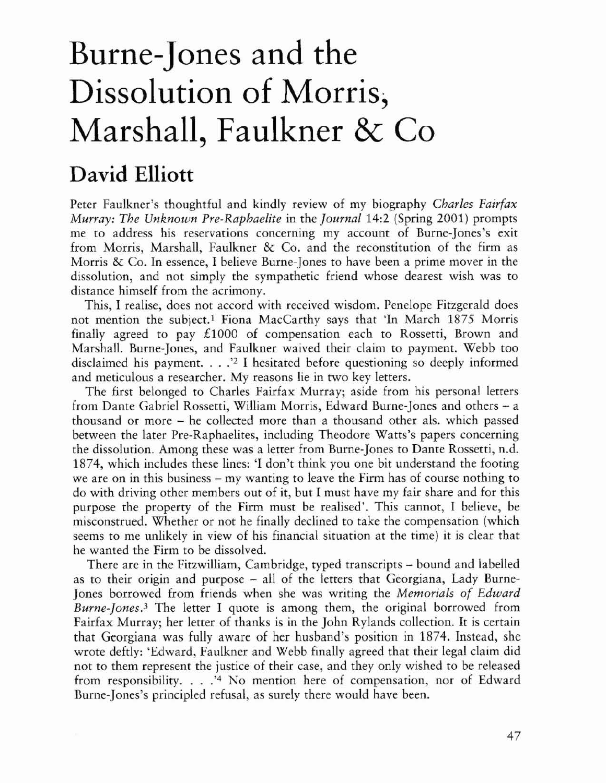## Burne-Jones and the Dissolution of Morris, Marshall, Faulkner & Co

## David Elliott

Perer Faulkner's rhoughrful and kindly review of my biography *Charles Fairfax Murray: The Unknown Pre-Raphaelite* in rhe *]ournaI14:2* (Spring 2001) promprs me to address his reservations concerning my account of Burne-Jones's exit from Morris, Marshall, Faulkner & Co. and the reconstitution of the firm as Morris & Co. In essence, I believe Burne-Jones to have been a prime mover in the dissolution, and not simply the sympathetic friend whose dearest wish was to distance himself from the acrimony.

This, I realise, does not accord with received wisdom. Penelope Fitzgerald does not mention the subject.<sup>1</sup> Fiona MacCarthy says that 'In March 1875 Morris finally agreed to pay £1000 of compensation each to Rossetti, Brown and Marshall. Burne-Jones, and Faulkner waived their claim to payment. Webb too disclaimed his payment. . . . '<sup>2</sup> I hesitated before questioning so deeply informed and meticulous a researcher. My reasons lie in two key letters.

The first belonged to Charles Fairfax Murray; aside from his personal letters from Dante Gabriel Rossetti, William Morris, Edward Bume-Jones and others - a thousand or more – he collected more than a thousand other als. which passed between the later Pre-Raphaelites, including Theodore Watrs's papers concerning the dissolution. Among these was a letter from Burne-Jones to Dante Rossetti, n.d. 1874, which includes these lines: 'I don't think you one bit understand the footing we are on in this business – my wanting to leave the Firm has of course nothing to do with driving other members out of it, but I must have my fair share and for this purpose the property of the Firm must be realised'. This cannot, I believe, be misconstrued. Whether or not he finally declined to take the compensation (which seems to me unlikely in view of his financial situation at the time) it is clear that he wamed the Firm to be dissolved.

There are in the Fitzwilliam, Cambridge, typed transcripts - bound and labelled as to their origin and purpose - all of the letrers that Georgiana, Lady Burne-Jones borrowed from friends when she was writing the *Memorials of Edward Burne·Jones.3* The letter I quote is among them, the original borrowed from Fairfax Murray; her letter of thanks is in the John Rylands collection. It is certain that Georgiana was fully aware of her husband's posirion in 1874. Instead, she wrote deftly: 'Edward, Faulkner and Webb finally agreed that their legal claim did not to them represent the justice of their case, and they only wished to be released from responsibility... .'4 No mention here of compensation, nor of Edward Burne-Jones's principled refusal, as surely there would have been.